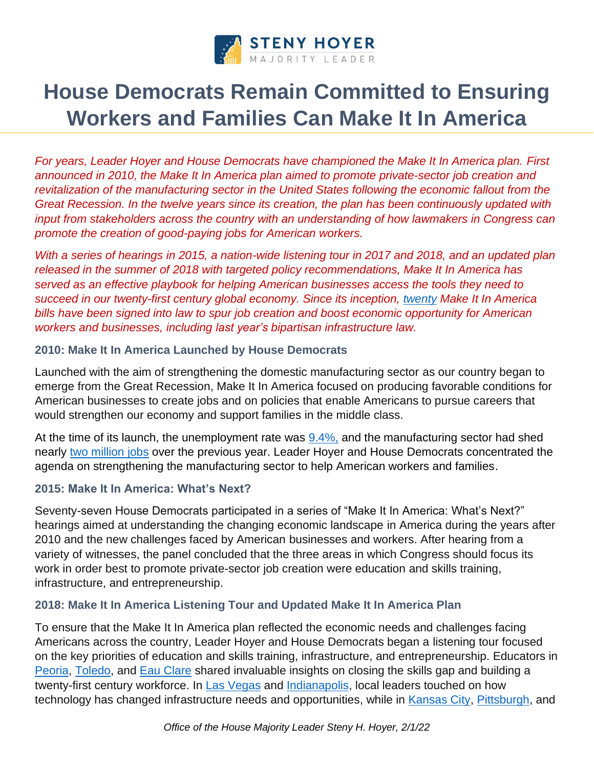

# **House Democrats Remain Committed to Ensuring Workers and Families Can Make It In America**

*For years, Leader Hoyer and House Democrats have championed the Make It In America plan. First announced in 2010, the Make It In America plan aimed to promote private-sector job creation and revitalization of the manufacturing sector in the United States following the economic fallout from the Great Recession. In the twelve years since its creation, the plan has been continuously updated with input from stakeholders across the country with an understanding of how lawmakers in Congress can promote the creation of good-paying jobs for American workers.*

*With a series of hearings in 2015, a nation-wide listening tour in 2017 and 2018, and an updated plan released in the summer of 2018 with targeted policy recommendations, Make It In America has served as an effective playbook for helping American businesses access the tools they need to succeed in our twenty-first century global economy. Since its inception, [twenty](https://www.majorityleader.gov/sites/democraticwhip.house.gov/files/MIIA%20Enacted%20Laws%2011%2013%2017.pdf) Make It In America bills have been signed into law to spur job creation and boost economic opportunity for American workers and businesses, including last year's bipartisan infrastructure law.* 

## **2010: Make It In America Launched by House Democrats**

Launched with the aim of strengthening the domestic manufacturing sector as our country began to emerge from the Great Recession, Make It In America focused on producing favorable conditions for American businesses to create jobs and on policies that enable Americans to pursue careers that would strengthen our economy and support families in the middle class.

At the time of its launch, the unemployment rate was [9.4%,](http://data.bls.gov/timeseries/LNS14000000) and the manufacturing sector had shed nearly [two million jobs](https://www.bls.gov/ces/cesbtabs.htm) over the previous year. Leader Hoyer and House Democrats concentrated the agenda on strengthening the manufacturing sector to help American workers and families.

## **2015: Make It In America: What's Next?**

Seventy-seven House Democrats participated in a series of "Make It In America: What's Next?" hearings aimed at understanding the changing economic landscape in America during the years after 2010 and the new challenges faced by American businesses and workers. After hearing from a variety of witnesses, the panel concluded that the three areas in which Congress should focus its work in order best to promote private-sector job creation were education and skills training, infrastructure, and entrepreneurship.

## **2018: Make It In America Listening Tour and Updated Make It In America Plan**

To ensure that the Make It In America plan reflected the economic needs and challenges facing Americans across the country, Leader Hoyer and House Democrats began a listening tour focused on the key priorities of education and skills training, infrastructure, and entrepreneurship. Educators in [Peoria, Toledo,](https://www.majorityleader.gov/content/hoyer-house-democrats-return-second-make-it-america-listening-tour) and [Eau Clare](https://www.majorityleader.gov/content/hoyer-house-democrats-conclude-third-make-it-america-listening-tour) shared invaluable insights on closing the skills gap and building a twenty-first century workforce. In [Las Vegas](https://www.majorityleader.gov/content/hoyer-house-democrats-conclude-first-session-make-it-america-listening-tour) and [Indianapolis,](https://www.majorityleader.gov/content/hoyer-house-democrats-return-second-make-it-america-listening-tour) local leaders touched on how technology has changed infrastructure needs and opportunities, while in [Kansas City,](https://www.majorityleader.gov/content/hoyer-house-democrats-conclude-first-session-make-it-america-listening-tour) [Pittsburgh,](https://www.majorityleader.gov/content/hoyer-house-democrats-return-second-make-it-america-listening-tour) and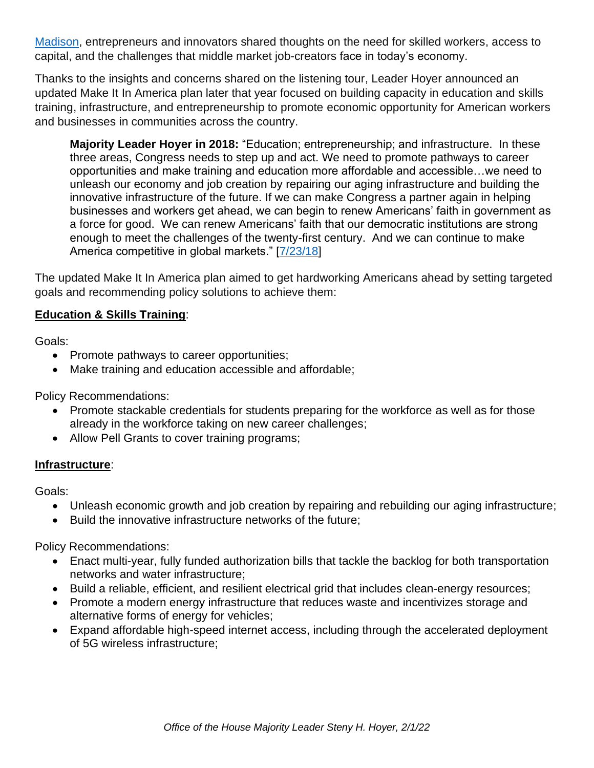[Madison,](https://www.majorityleader.gov/content/hoyer-house-democrats-conclude-third-make-it-america-listening-tour) entrepreneurs and innovators shared thoughts on the need for skilled workers, access to capital, and the challenges that middle market job-creators face in today's economy.

Thanks to the insights and concerns shared on the listening tour, Leader Hoyer announced an updated Make It In America plan later that year focused on building capacity in education and skills training, infrastructure, and entrepreneurship to promote economic opportunity for American workers and businesses in communities across the country.

**Majority Leader Hoyer in 2018:** "Education; entrepreneurship; and infrastructure. In these three areas, Congress needs to step up and act. We need to promote pathways to career opportunities and make training and education more affordable and accessible…we need to unleash our economy and job creation by repairing our aging infrastructure and building the innovative infrastructure of the future. If we can make Congress a partner again in helping businesses and workers get ahead, we can begin to renew Americans' faith in government as a force for good. We can renew Americans' faith that our democratic institutions are strong enough to meet the challenges of the twenty-first century. And we can continue to make America competitive in global markets." [\[7/23/18\]](https://www.majorityleader.gov/content/hoyer-delivers-speech-announcing-house-democrats%E2%80%99-updated-make-it-america-plan)

The updated Make It In America plan aimed to get hardworking Americans ahead by setting targeted goals and recommending policy solutions to achieve them:

## **Education & Skills Training**:

Goals:

- Promote pathways to career opportunities;
- Make training and education accessible and affordable;

Policy Recommendations:

- Promote stackable credentials for students preparing for the workforce as well as for those already in the workforce taking on new career challenges;
- Allow Pell Grants to cover training programs;

#### **Infrastructure**:

Goals:

- Unleash economic growth and job creation by repairing and rebuilding our aging infrastructure;
- Build the innovative infrastructure networks of the future;

Policy Recommendations:

- Enact multi-year, fully funded authorization bills that tackle the backlog for both transportation networks and water infrastructure;
- Build a reliable, efficient, and resilient electrical grid that includes clean-energy resources;
- Promote a modern energy infrastructure that reduces waste and incentivizes storage and alternative forms of energy for vehicles;
- Expand affordable high-speed internet access, including through the accelerated deployment of 5G wireless infrastructure;